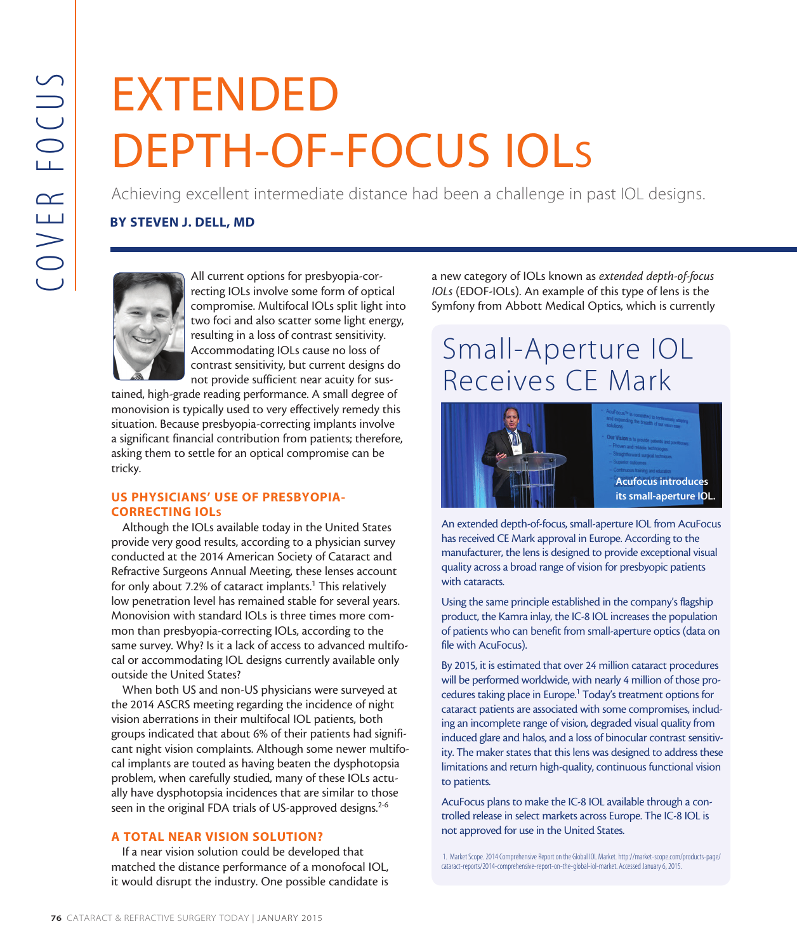# EXTENDED DEPTH-OF-FOCUS IOLs

Achieving excellent intermediate distance had been a challenge in past IOL designs.

## BY STEVEN J. DELL, MD



All current options for presbyopia-correcting IOLs involve some form of optical compromise. Multifocal IOLs split light into two foci and also scatter some light energy, resulting in a loss of contrast sensitivity. Accommodating IOLs cause no loss of contrast sensitivity, but current designs do not provide sufficient near acuity for sus-

tained, high-grade reading performance. A small degree of monovision is typically used to very effectively remedy this situation. Because presbyopia-correcting implants involve a significant financial contribution from patients; therefore, asking them to settle for an optical compromise can be tricky.

### US PHYSICIANS' USE OF PRESBYOPIA-CORRECTING IOLs

TENDENTING IN A All current options for prediction and Metrical BY STEVEN J. DELL, MD<br>
Achieving excellent intermedial<br>
and Catar of the Core and All current options for predictions in the conditions. All current options f Although the IOLs available today in the United States provide very good results, according to a physician survey conducted at the 2014 American Society of Cataract and Refractive Surgeons Annual Meeting, these lenses account for only about 7.2% of cataract implants.<sup>1</sup> This relatively low penetration level has remained stable for several years. Monovision with standard IOLs is three times more common than presbyopia-correcting IOLs, according to the same survey. Why? Is it a lack of access to advanced multifocal or accommodating IOL designs currently available only outside the United States?

When both US and non-US physicians were surveyed at the 2014 ASCRS meeting regarding the incidence of night vision aberrations in their multifocal IOL patients, both groups indicated that about 6% of their patients had significant night vision complaints. Although some newer multifocal implants are touted as having beaten the dysphotopsia problem, when carefully studied, many of these IOLs actually have dysphotopsia incidences that are similar to those seen in the original FDA trials of US-approved designs.<sup>2-6</sup>

# A TOTAL NEAR VISION SOLUTION?

If a near vision solution could be developed that matched the distance performance of a monofocal IOL, it would disrupt the industry. One possible candidate is a new category of IOLs known as *extended depth-of-focus IOLs* (EDOF-IOLs). An example of this type of lens is the Symfony from Abbott Medical Optics, which is currently

# Small-Aperture IOL Receives CE Mark



An extended depth-of-focus, small-aperture IOL from AcuFocus has received CE Mark approval in Europe. According to the manufacturer, the lens is designed to provide exceptional visual quality across a broad range of vision for presbyopic patients with cataracts.

Using the same principle established in the company's flagship product, the Kamra inlay, the IC-8 IOL increases the population of patients who can benefit from small-aperture optics (data on file with AcuFocus).

By 2015, it is estimated that over 24 million cataract procedures will be performed worldwide, with nearly 4 million of those procedures taking place in Europe.<sup>1</sup> Today's treatment options for cataract patients are associated with some compromises, including an incomplete range of vision, degraded visual quality from induced glare and halos, and a loss of binocular contrast sensitivity. The maker states that this lens was designed to address these limitations and return high-quality, continuous functional vision to patients.

AcuFocus plans to make the IC-8 IOL available through a controlled release in select markets across Europe. The IC-8 IOL is not approved for use in the United States.

1. Market Scope. 2014 Comprehensive Report on the Global IOL Market. http://market-scope.com/products-page/ cataract-reports/2014-comprehensive-report-on-the-global-iol-market. Accessed January 6, 2015.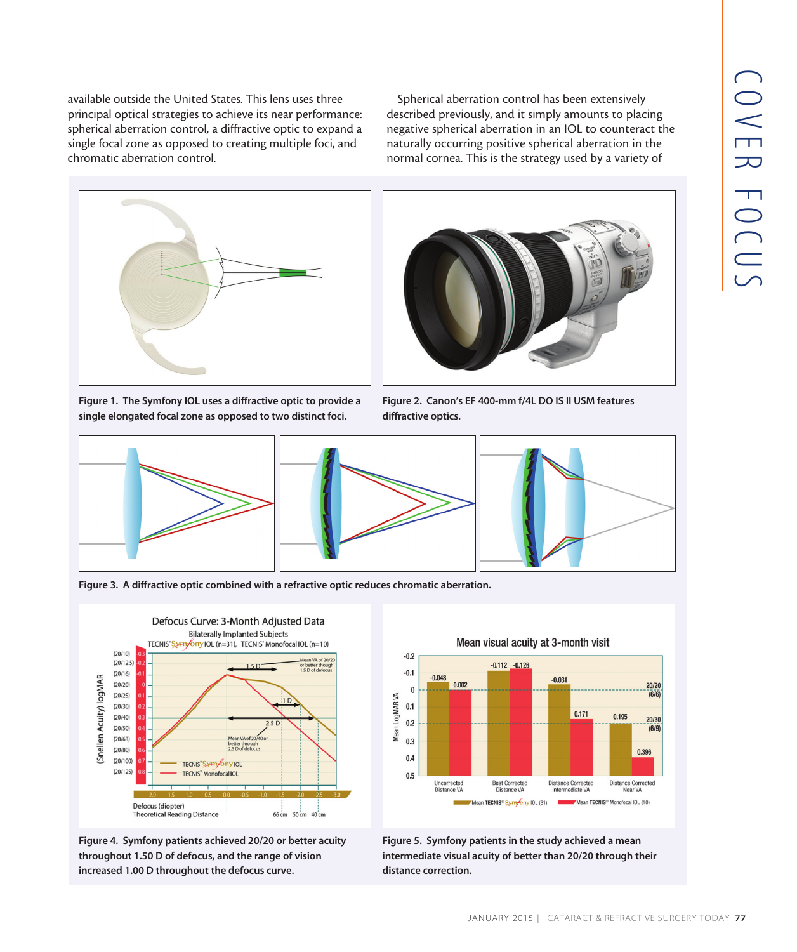available outside the United States. This lens uses three principal optical strategies to achieve its near performance: spherical aberration control, a diffractive optic to expand a single focal zone as opposed to creating multiple foci, and chromatic aberration control.

Spherical aberration control has been extensively described previously, and it simply amounts to placing negative spherical aberration in an IOL to counteract the naturally occurring positive spherical aberration in the normal cornea. This is the strategy used by a variety of



Figure 1. The Symfony IOL uses a diffractive optic to provide a single elongated focal zone as opposed to two distinct foci.



Figure 2. Canon's EF 400-mm f/4L DO IS II USM features diffractive optics.





Figure 3. A diffractive optic combined with a refractive optic reduces chromatic aberration.



Figure 4. Symfony patients achieved 20/20 or better acuity throughout 1.50 D of defocus, and the range of vision increased 1.00 D throughout the defocus curve.



Figure 5. Symfony patients in the study achieved a mean intermediate visual acuity of better than 20/20 through their distance correction.